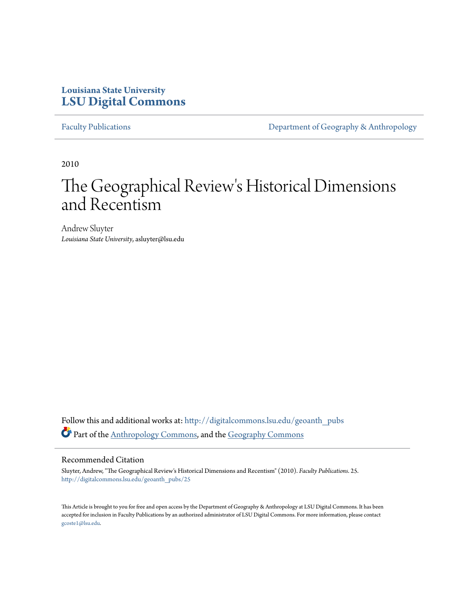## **Louisiana State University [LSU Digital Commons](http://digitalcommons.lsu.edu?utm_source=digitalcommons.lsu.edu%2Fgeoanth_pubs%2F25&utm_medium=PDF&utm_campaign=PDFCoverPages)**

[Faculty Publications](http://digitalcommons.lsu.edu/geoanth_pubs?utm_source=digitalcommons.lsu.edu%2Fgeoanth_pubs%2F25&utm_medium=PDF&utm_campaign=PDFCoverPages) **[Department of Geography & Anthropology](http://digitalcommons.lsu.edu/geoanth?utm_source=digitalcommons.lsu.edu%2Fgeoanth_pubs%2F25&utm_medium=PDF&utm_campaign=PDFCoverPages)** 

2010

# The Geographical Review's Historical Dimensions and Recentism

Andrew Sluyter *Louisiana State University*, asluyter@lsu.edu

Follow this and additional works at: [http://digitalcommons.lsu.edu/geoanth\\_pubs](http://digitalcommons.lsu.edu/geoanth_pubs?utm_source=digitalcommons.lsu.edu%2Fgeoanth_pubs%2F25&utm_medium=PDF&utm_campaign=PDFCoverPages) Part of the [Anthropology Commons](http://network.bepress.com/hgg/discipline/318?utm_source=digitalcommons.lsu.edu%2Fgeoanth_pubs%2F25&utm_medium=PDF&utm_campaign=PDFCoverPages), and the [Geography Commons](http://network.bepress.com/hgg/discipline/354?utm_source=digitalcommons.lsu.edu%2Fgeoanth_pubs%2F25&utm_medium=PDF&utm_campaign=PDFCoverPages)

## Recommended Citation

Sluyter, Andrew, "The Geographical Review's Historical Dimensions and Recentism" (2010). *Faculty Publications*. 25. [http://digitalcommons.lsu.edu/geoanth\\_pubs/25](http://digitalcommons.lsu.edu/geoanth_pubs/25?utm_source=digitalcommons.lsu.edu%2Fgeoanth_pubs%2F25&utm_medium=PDF&utm_campaign=PDFCoverPages)

This Article is brought to you for free and open access by the Department of Geography & Anthropology at LSU Digital Commons. It has been accepted for inclusion in Faculty Publications by an authorized administrator of LSU Digital Commons. For more information, please contact [gcoste1@lsu.edu.](mailto:gcoste1@lsu.edu)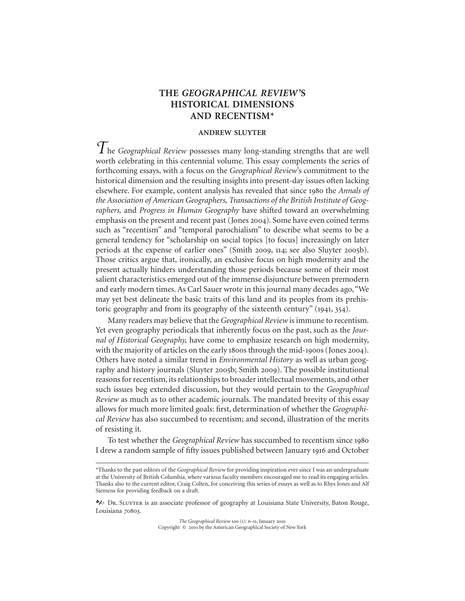## **THE** *GEOGRAPHICAL REVIEW'***S HISTORICAL DIMENSIONS AND RECENTISM\***

## **ANDREW SLUYTER**

*T*he *Geographical Review* possesses many long-standing strengths that are well worth celebrating in this centennial volume. This essay complements the series of forthcoming essays, with a focus on the *Geographical Review*'s commitment to the historical dimension and the resulting insights into present-day issues often lacking elsewhere. For example, content analysis has revealed that since 1980 the *Annals of the Association of American Geographers, Transactions of the British Institute of Geographers,* and *Progress in Human Geography* have shifted toward an overwhelming emphasis on the present and recent past (Jones 2004). Some have even coined terms such as "recentism" and "temporal parochialism" to describe what seems to be a general tendency for "scholarship on social topics [to focus] increasingly on later periods at the expense of earlier ones" (Smith 2009, 114; see also Sluyter 2005b). Those critics argue that, ironically, an exclusive focus on high modernity and the present actually hinders understanding those periods because some of their most salient characteristics emerged out of the immense disjuncture between premodern and early modern times. As Carl Sauer wrote in this journal many decades ago, "We may yet best delineate the basic traits of this land and its peoples from its prehistoric geography and from its geography of the sixteenth century" (1941, 354).

Many readers may believe that the *Geographical Review* is immune to recentism. Yet even geography periodicals that inherently focus on the past, such as the *Journal of Historical Geography,* have come to emphasize research on high modernity, with the majority of articles on the early 1800s through the mid-1900s (Jones 2004). Others have noted a similar trend in *Environmental History* as well as urban geography and history journals (Sluyter 2005b; Smith 2009). The possible institutional reasons for recentism, its relationships to broader intellectual movements, and other such issues beg extended discussion, but they would pertain to the *Geographical Review* as much as to other academic journals. The mandated brevity of this essay allows for much more limited goals: first, determination of whether the *Geographical Review* has also succumbed to recentism; and second, illustration of the merits of resisting it.

To test whether the *Geographical Review* has succumbed to recentism since I drew a random sample of fifty issues published between January 1916 and October

*The Geographical Review* 100 (1): 6-11, January 2010 Copyright © 2010 by the American Geographical Society of New York

<sup>\*</sup>Thanks to the past editors of the *Geographical Review* for providing inspiration ever since I was an undergraduate at the University of British Columbia, where various faculty members encouraged me to read its engaging articles. Thanks also to the current editor, Craig Colten, for conceiving this series of essays as well as to Rhys Jones and Alf Siemens for providing feedback on a draft.

Dr. Sluyter is an associate professor of geography at Louisiana State University, Baton Rouge, Louisiana 70803.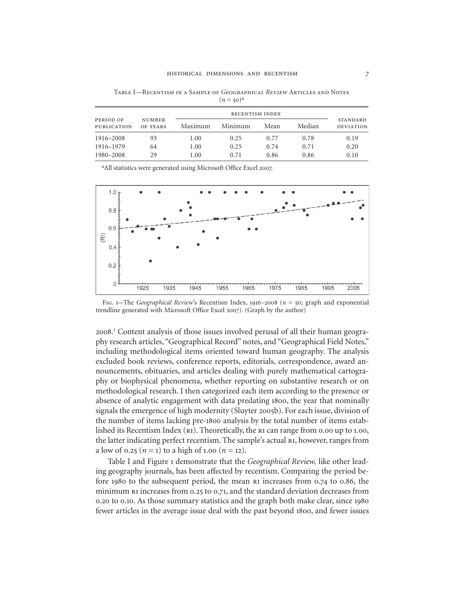Table I—Recentism in a Sample of *Geographical Review* Articles and Notes  $(n = 50)^a$ 

| PERIOD OF<br><b>PUBLICATION</b> | <b>NUMBER</b><br>OF YEARS | <b>RECENTISM INDEX</b> |         |      |        |                                     |
|---------------------------------|---------------------------|------------------------|---------|------|--------|-------------------------------------|
|                                 |                           | Maximum                | Minimum | Mean | Median | <b>STANDARD</b><br><b>DEVIATION</b> |
| 1916–2008                       | 93                        | 1.00                   | 0.25    | 0.77 | 0.78   | 0.19                                |
| 1916–1979                       | 64                        | 1.00                   | 0.25    | 0.74 | 0.71   | 0.20                                |
| 1980-2008                       | 29                        | 1.00                   | 0.71    | 0.86 | 0.86   | 0.10                                |

<sup>a</sup>All statistics were generated using Microsoft Office Excel 2007.



Fig. 1-The *Geographical Review's* Recentism Index, 1916-2008 ( $n = 50$ ; graph and exponential trendline generated with Microsoft Office Excel 2007). (Graph by the author)

2008.<sup>1</sup> Content analysis of those issues involved perusal of all their human geography research articles, "Geographical Record" notes, and "Geographical Field Notes," including methodological items oriented toward human geography. The analysis excluded book reviews, conference reports, editorials, correspondence, award announcements, obituaries, and articles dealing with purely mathematical cartography or biophysical phenomena, whether reporting on substantive research or on methodological research. I then categorized each item according to the presence or absence of analytic engagement with data predating 1800, the year that nominally signals the emergence of high modernity (Sluyter 2005b). For each issue, division of the number of items lacking pre-1800 analysis by the total number of items established its Recentism Index ( $\overline{R1}$ ). Theoretically, the  $\overline{R1}$  can range from 0.00 up to 1.00, the latter indicating perfect recentism. The sample's actual ri, however, ranges from a low of 0.25 ( $n = 1$ ) to a high of 1.00 ( $n = 12$ ).

Table I and Figure 1 demonstrate that the *Geographical Review*, like other leading geography journals, has been affected by recentism. Comparing the period before  $1980$  to the subsequent period, the mean  $R1$  increases from 0.74 to 0.86, the minimum  $\overline{R}$  increases from 0.25 to 0.71, and the standard deviation decreases from 0.20 to 0.10. As those summary statistics and the graph both make clear, since 1980 fewer articles in the average issue deal with the past beyond 1800, and fewer issues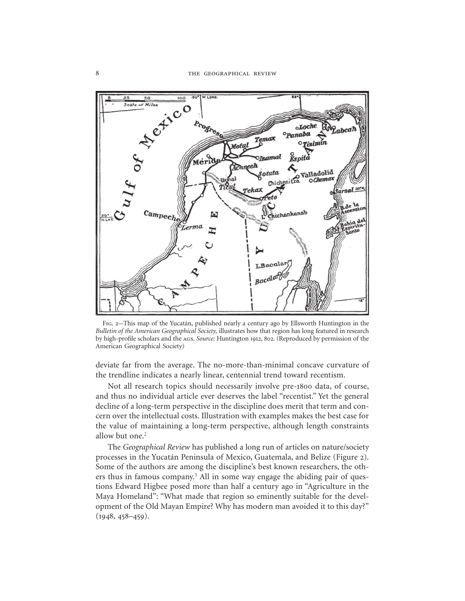

Fig. This map of the Yucatán, published nearly a century ago by Ellsworth Huntington in the *Bulletin of the American Geographical Society,* illustrates how that region has long featured in research by high-profile scholars and the AGS. Source: Huntington 1912, 802. (Reproduced by permission of the American Geographical Society)

deviate far from the average. The no-more-than-minimal concave curvature of the trendline indicates a nearly linear, centennial trend toward recentism.

Not all research topics should necessarily involve pre-1800 data, of course, and thus no individual article ever deserves the label "recentist." Yet the general decline of a long-term perspective in the discipline does merit that term and concern over the intellectual costs. Illustration with examples makes the best case for the value of maintaining a long-term perspective, although length constraints allow but one.<sup>2</sup>

The *Geographical Review* has published a long run of articles on nature/society processes in the Yucatán Peninsula of Mexico, Guatemala, and Belize (Figure 2). Some of the authors are among the discipline's best known researchers, the others thus in famous company.<sup>3</sup> All in some way engage the abiding pair of questions Edward Higbee posed more than half a century ago in "Agriculture in the Maya Homeland": "What made that region so eminently suitable for the development of the Old Mayan Empire? Why has modern man avoided it to this day?"  $(1948, 458 - 459).$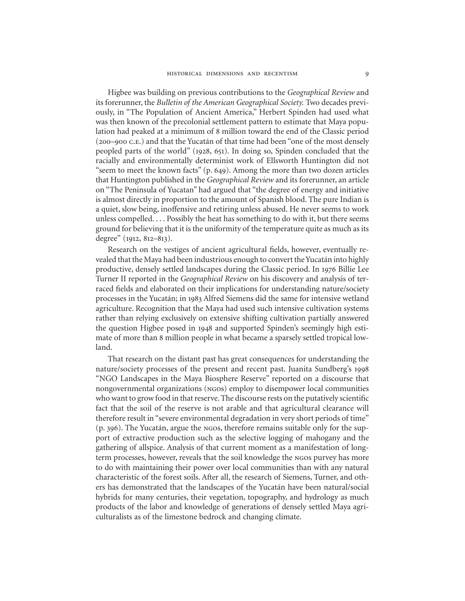Higbee was building on previous contributions to the *Geographical Review* and its forerunner, the *Bulletin of the American Geographical Society.* Two decades previously, in "The Population of Ancient America," Herbert Spinden had used what was then known of the precolonial settlement pattern to estimate that Maya population had peaked at a minimum of 8 million toward the end of the Classic period (200-900 C.E.) and that the Yucatán of that time had been "one of the most densely peopled parts of the world" (1928, 651). In doing so, Spinden concluded that the racially and environmentally determinist work of Ellsworth Huntington did not "seem to meet the known facts"  $(p. 649)$ . Among the more than two dozen articles that Huntington published in the *Geographical Review* and its forerunner, an article on "The Peninsula of Yucatan" had argued that "the degree of energy and initiative is almost directly in proportion to the amount of Spanish blood. The pure Indian is a quiet, slow being, inoffensive and retiring unless abused. He never seems to work unless compelled. . . . Possibly the heat has something to do with it, but there seems ground for believing that it is the uniformity of the temperature quite as much as its degree"  $(1912, 812-813)$ .

Research on the vestiges of ancient agricultural fields, however, eventually revealed that the Maya had been industrious enough to convert the Yucatán into highly productive, densely settled landscapes during the Classic period. In 1976 Billie Lee Turner II reported in the *Geographical Review* on his discovery and analysis of terraced fields and elaborated on their implications for understanding nature/society processes in the Yucatán; in 1983 Alfred Siemens did the same for intensive wetland agriculture. Recognition that the Maya had used such intensive cultivation systems rather than relying exclusively on extensive shifting cultivation partially answered the question Higbee posed in 1948 and supported Spinden's seemingly high estimate of more than 8 million people in what became a sparsely settled tropical lowland.

That research on the distant past has great consequences for understanding the nature/society processes of the present and recent past. Juanita Sundberg's "NGO Landscapes in the Maya Biosphere Reserve" reported on a discourse that nongovernmental organizations (ngos) employ to disempower local communities who want to grow food in that reserve. The discourse rests on the putatively scientific fact that the soil of the reserve is not arable and that agricultural clearance will therefore result in "severe environmental degradation in very short periods of time"  $(p, 396)$ . The Yucatán, argue the ngos, therefore remains suitable only for the support of extractive production such as the selective logging of mahogany and the gathering of allspice. Analysis of that current moment as a manifestation of longterm processes, however, reveals that the soil knowledge the ngos purvey has more to do with maintaining their power over local communities than with any natural characteristic of the forest soils. After all, the research of Siemens, Turner, and others has demonstrated that the landscapes of the Yucatán have been natural/social hybrids for many centuries, their vegetation, topography, and hydrology as much products of the labor and knowledge of generations of densely settled Maya agriculturalists as of the limestone bedrock and changing climate.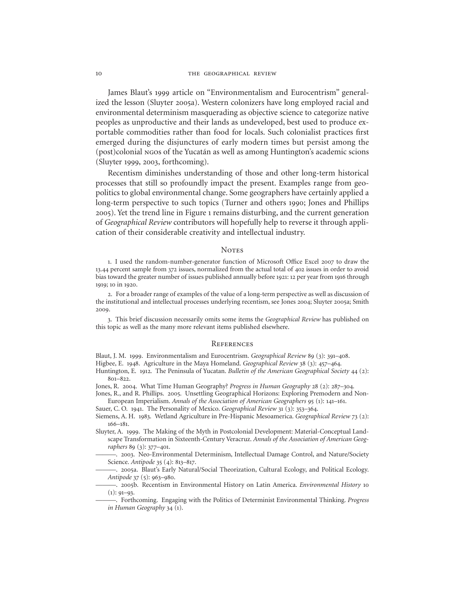James Blaut's 1999 article on "Environmentalism and Eurocentrism" generalized the lesson (Sluyter 2005a). Western colonizers have long employed racial and environmental determinism masquerading as objective science to categorize native peoples as unproductive and their lands as undeveloped, best used to produce exportable commodities rather than food for locals. Such colonialist practices first emerged during the disjunctures of early modern times but persist among the (post)colonial ngos of the Yucatán as well as among Huntington's academic scions (Sluyter 1999, 2003, forthcoming).

Recentism diminishes understanding of those and other long-term historical processes that still so profoundly impact the present. Examples range from geopolitics to global environmental change. Some geographers have certainly applied a long-term perspective to such topics (Turner and others 1990; Jones and Phillips ). Yet the trend line in Figure remains disturbing, and the current generation of *Geographical Review* contributors will hopefully help to reverse it through application of their considerable creativity and intellectual industry.

### **NOTES**

1. I used the random-number-generator function of Microsoft Office Excel 2007 to draw the 13.44 percent sample from 372 issues, normalized from the actual total of 402 issues in order to avoid bias toward the greater number of issues published annually before 1921: 12 per year from 1916 through 1919; 10 in 1920.

. For a broader range of examples of the value of a long-term perspective as well as discussion of the institutional and intellectual processes underlying recentism, see Jones 2004; Sluyter 2005a; Smith 2009.

. This brief discussion necessarily omits some items the *Geographical Review* has published on this topic as well as the many more relevant items published elsewhere.

#### **REFERENCES**

Blaut, J. M. 1999. Environmentalism and Eurocentrism. *Geographical Review* 89 (3): 391-408.

Higbee, E. 1948. Agriculture in the Maya Homeland. *Geographical Review* 38 (3): 457-464.

Huntington, E. 1912. The Peninsula of Yucatan. *Bulletin of the American Geographical Society* 44 (2):  $801 - 822$ 

Jones, R. 2004. What Time Human Geography? *Progress in Human Geography* 28 (2): 287-304.

Jones, R., and R. Phillips. 2005. Unsettling Geographical Horizons: Exploring Premodern and Non-European Imperialism. *Annals of the Association of American Geographers* 95 (1): 141-161.

Sauer, C. O. 1941. The Personality of Mexico. *Geographical Review* 31 (3): 353-364.

- Siemens, A. H. 1983. Wetland Agriculture in Pre-Hispanic Mesoamerica. *Geographical Review* 73 (2):  $166 - 181.$
- Sluyter, A. 1999. The Making of the Myth in Postcolonial Development: Material-Conceptual Landscape Transformation in Sixteenth-Century Veracruz. *Annals of the Association of American Geographers* 89 (3): 377-401.

-. 2003. Neo-Environmental Determinism, Intellectual Damage Control, and Nature/Society Science. *Antipode* 35 (4): 813-817.

———. a. Blaut's Early Natural/Social Theorization, Cultural Ecology, and Political Ecology. *Antipode* 37 (5): 963–980.

———. b. Recentism in Environmental History on Latin America. *Environmental History*  $(1)$ : 91-93.

———. Forthcoming. Engaging with the Politics of Determinist Environmental Thinking. *Progress in Human Geography* 34 (1).